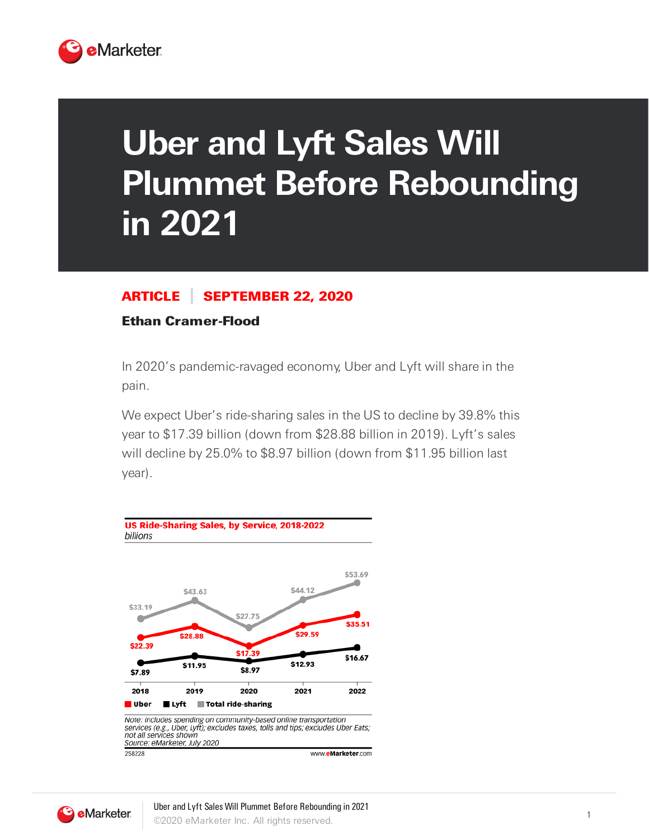

## **Uber and Lyft Sales Will Plummet Before Rebounding in 2021**

## ARTICLE SEPTEMBER 22, 2020

## Ethan Cramer-Flood

In 2020's pandemic-ravaged economy, Uber and Lyft will share in the pain.

We expect Uber's ride-sharing sales in the US to decline by 39.8% this year to \$17.39 billion (down from \$28.88 billion in 2019). Lyft's sales will decline by 25.0% to \$8.97 billion (down from \$11.95 billion last year).